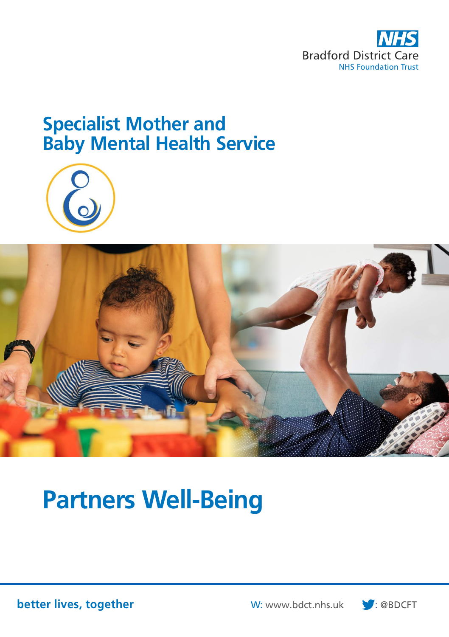

## **Specialist Mother and Baby Mental Health Service**





# **Partners Well-Being**

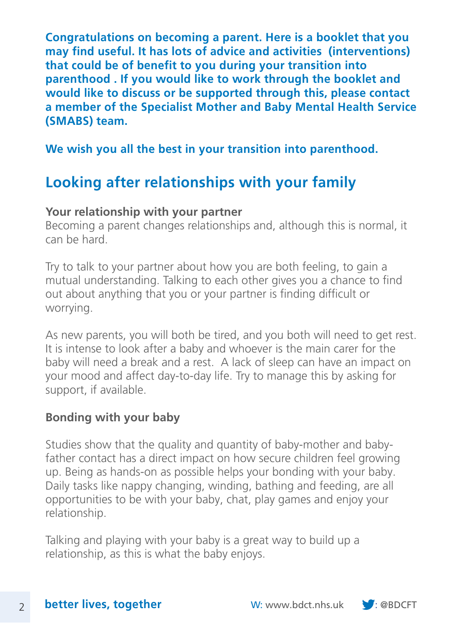**Congratulations on becoming a parent. Here is a booklet that you may find useful. It has lots of advice and activities (interventions) that could be of benefit to you during your transition into parenthood . If you would like to work through the booklet and would like to discuss or be supported through this, please contact a member of the Specialist Mother and Baby Mental Health Service (SMABS) team.**

**We wish you all the best in your transition into parenthood.**

## **Looking after relationships with your family**

#### **Your relationship with your partner**

Becoming a parent changes relationships and, although this is normal, it can be hard.

Try to talk to your partner about how you are both feeling, to gain a mutual understanding. Talking to each other gives you a chance to find out about anything that you or your partner is finding difficult or worrying.

As new parents, you will both be tired, and you both will need to get rest. It is intense to look after a baby and whoever is the main carer for the baby will need a break and a rest. A lack of sleep can have an impact on your mood and affect day-to-day life. Try to manage this by asking for support, if available.

#### **Bonding with your baby**

Studies show that the quality and quantity of baby-mother and babyfather contact has a direct impact on how secure children feel growing up. Being as hands-on as possible helps your bonding with your baby. Daily tasks like nappy changing, winding, bathing and feeding, are all opportunities to be with your baby, chat, play games and enjoy your relationship.

Talking and playing with your baby is a great way to build up a relationship, as this is what the baby enjoys.

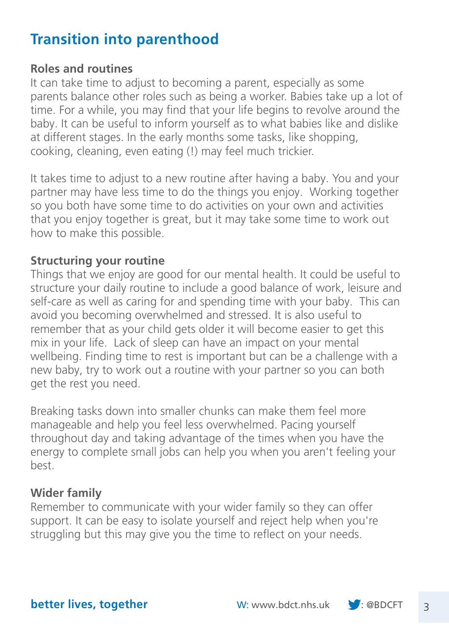## **Transition into parenthood**

#### **Roles and routines**

It can take time to adjust to becoming a parent, especially as some parents balance other roles such as being a worker. Babies take up a lot of time. For a while, you may find that your life begins to revolve around the baby. It can be useful to inform yourself as to what babies like and dislike at different stages. In the early months some tasks, like shopping, cooking, cleaning, even eating (!) may feel much trickier.

It takes time to adjust to a new routine after having a baby. You and your partner may have less time to do the things you enjoy. Working together so you both have some time to do activities on your own and activities that you enjoy together is great, but it may take some time to work out how to make this possible.

#### **Structuring your routine**

Things that we enjoy are good for our mental health. It could be useful to structure your daily routine to include a good balance of work, leisure and self-care as well as caring for and spending time with your baby. This can avoid you becoming overwhelmed and stressed. It is also useful to remember that as your child gets older it will become easier to get this mix in your life. Lack of sleep can have an impact on your mental wellbeing. Finding time to rest is important but can be a challenge with a new baby, try to work out a routine with your partner so you can both get the rest you need.

Breaking tasks down into smaller chunks can make them feel more manageable and help you feel less overwhelmed. Pacing yourself throughout day and taking advantage of the times when you have the energy to complete small jobs can help you when you aren't feeling your best.

#### **Wider family**

Remember to communicate with your wider family so they can offer support. It can be easy to isolate yourself and reject help when you're struggling but this may give you the time to reflect on your needs.

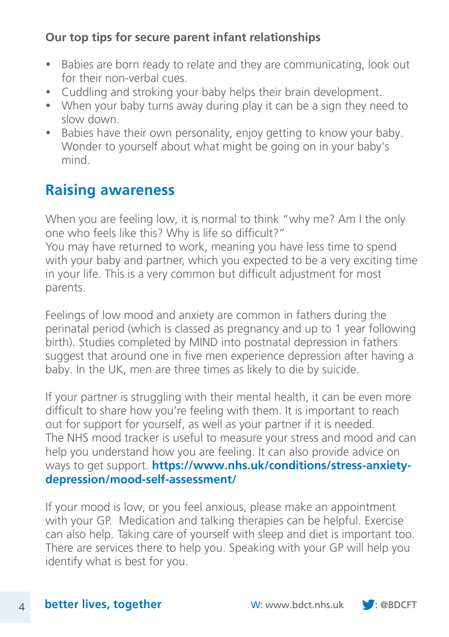#### **Our top tips for secure parent infant relationships**

- Babies are born ready to relate and they are communicating, look out for their non-verbal cues.
- Cuddling and stroking your baby helps their brain development.
- When your baby turns away during play it can be a sign they need to slow down.
- Babies have their own personality, enjoy getting to know your baby. Wonder to yourself about what might be going on in your baby's mind.

## **Raising awareness**

When you are feeling low, it is normal to think "why me? Am I the only one who feels like this? Why is life so difficult?"

You may have returned to work, meaning you have less time to spend with your baby and partner, which you expected to be a very exciting time in your life. This is a very common but difficult adjustment for most parents.

Feelings of low mood and anxiety are common in fathers during the perinatal period (which is classed as pregnancy and up to 1 year following birth). Studies completed by MIND into postnatal depression in fathers suggest that around one in five men experience depression after having a baby. In the UK, men are three times as likely to die by suicide.

If your partner is struggling with their mental health, it can be even more difficult to share how you're feeling with them. It is important to reach out for support for yourself, as well as your partner if it is needed. The NHS mood tracker is useful to measure your stress and mood and can help you understand how you are feeling. It can also provide advice on ways to get support. **https://www.nhs.uk/conditions/stress-anxietydepression/mood-self-assessment/** 

If your mood is low, or you feel anxious, please make an appointment with your GP. Medication and talking therapies can be helpful. Exercise can also help. Taking care of yourself with sleep and diet is important too. There are services there to help you. Speaking with your GP will help you identify what is best for you.

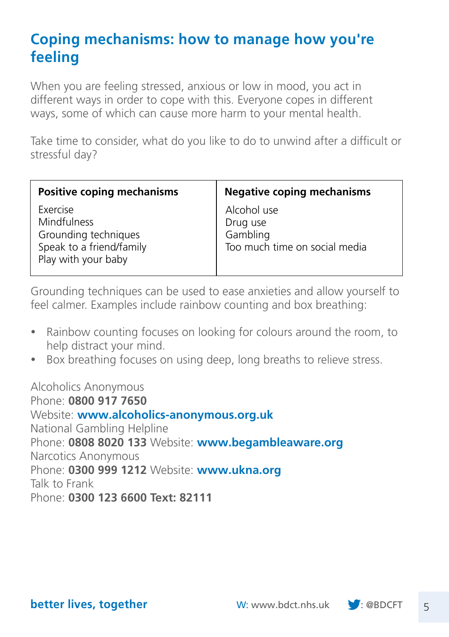## **Coping mechanisms: how to manage how you're feeling**

When you are feeling stressed, anxious or low in mood, you act in different ways in order to cope with this. Everyone copes in different ways, some of which can cause more harm to your mental health.

Take time to consider, what do you like to do to unwind after a difficult or stressful day?

| <b>Positive coping mechanisms</b>                                                                         | <b>Negative coping mechanisms</b>                                    |
|-----------------------------------------------------------------------------------------------------------|----------------------------------------------------------------------|
| Exercise<br><b>Mindfulness</b><br>Grounding techniques<br>Speak to a friend/family<br>Play with your baby | Alcohol use<br>Drug use<br>Gambling<br>Too much time on social media |

Grounding techniques can be used to ease anxieties and allow yourself to feel calmer. Examples include rainbow counting and box breathing:

- Rainbow counting focuses on looking for colours around the room, to help distract your mind.
- Box breathing focuses on using deep, long breaths to relieve stress.

Alcoholics Anonymous Phone: **0800 917 7650**  Website: **www.alcoholics-anonymous.org.uk** National Gambling Helpline Phone: **0808 8020 133** Website: **www.begambleaware.org**  Narcotics Anonymous Phone: **0300 999 1212** Website: **www.ukna.org** Talk to Frank Phone: **0300 123 6600 Text: 82111**

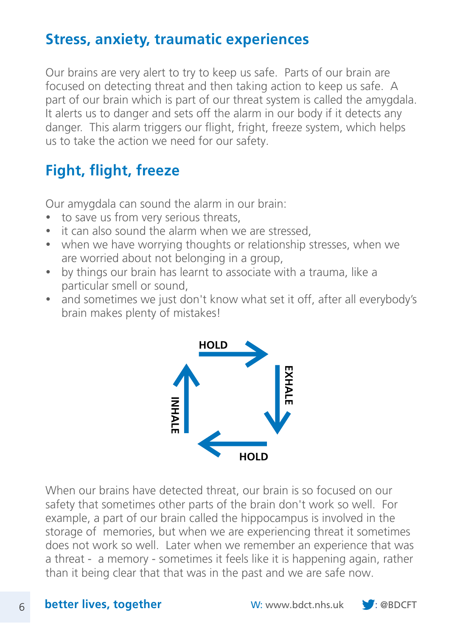### **Stress, anxiety, traumatic experiences**

Our brains are very alert to try to keep us safe. Parts of our brain are focused on detecting threat and then taking action to keep us safe. A part of our brain which is part of our threat system is called the amygdala. It alerts us to danger and sets off the alarm in our body if it detects any danger. This alarm triggers our flight, fright, freeze system, which helps us to take the action we need for our safety.

## **Fight, flight, freeze**

Our amygdala can sound the alarm in our brain:

- to save us from very serious threats,
- it can also sound the alarm when we are stressed.
- when we have worrying thoughts or relationship stresses, when we are worried about not belonging in a group,
- by things our brain has learnt to associate with a trauma, like a particular smell or sound,
- and sometimes we just don't know what set it off, after all everybody's brain makes plenty of mistakes!



When our brains have detected threat, our brain is so focused on our safety that sometimes other parts of the brain don't work so well. For example, a part of our brain called the hippocampus is involved in the storage of memories, but when we are experiencing threat it sometimes does not work so well. Later when we remember an experience that was a threat - a memory - sometimes it feels like it is happening again, rather than it being clear that that was in the past and we are safe now.

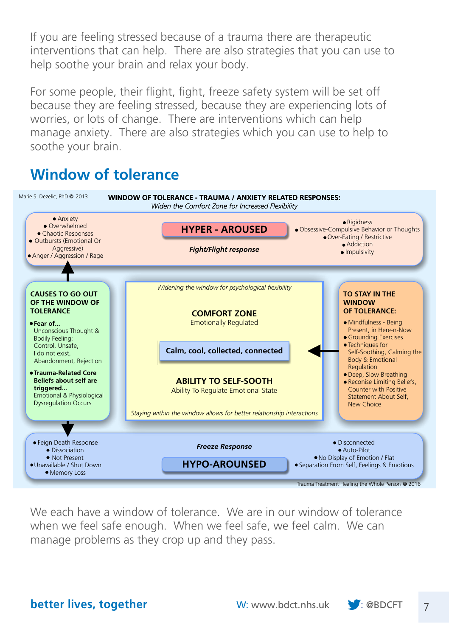If you are feeling stressed because of a trauma there are therapeutic interventions that can help. There are also strategies that you can use to help soothe your brain and relax your body.

For some people, their flight, fight, freeze safety system will be set off because they are feeling stressed, because they are experiencing lots of worries, or lots of change. There are interventions which can help manage anxiety. There are also strategies which you can use to help to soothe your brain.

## **Window of tolerance**



We each have a window of tolerance. We are in our window of tolerance when we feel safe enough. When we feel safe, we feel calm. We can manage problems as they crop up and they pass.

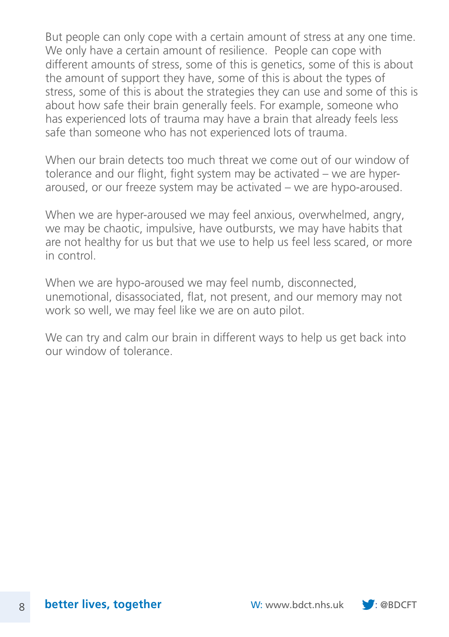But people can only cope with a certain amount of stress at any one time. We only have a certain amount of resilience. People can cope with different amounts of stress, some of this is genetics, some of this is about the amount of support they have, some of this is about the types of stress, some of this is about the strategies they can use and some of this is about how safe their brain generally feels. For example, someone who has experienced lots of trauma may have a brain that already feels less safe than someone who has not experienced lots of trauma.

When our brain detects too much threat we come out of our window of tolerance and our flight, fight system may be activated – we are hyperaroused, or our freeze system may be activated – we are hypo-aroused.

When we are hyper-aroused we may feel anxious, overwhelmed, angry, we may be chaotic, impulsive, have outbursts, we may have habits that are not healthy for us but that we use to help us feel less scared, or more in control.

When we are hypo-aroused we may feel numb, disconnected, unemotional, disassociated, flat, not present, and our memory may not work so well, we may feel like we are on auto pilot.

We can try and calm our brain in different ways to help us get back into our window of tolerance.

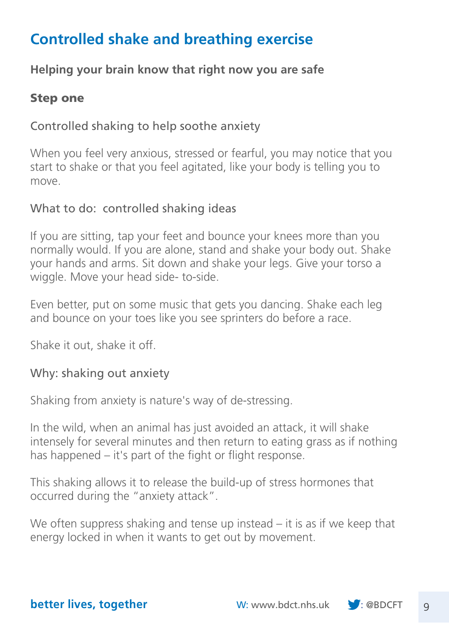## **Controlled shake and breathing exercise**

#### **Helping your brain know that right now you are safe**

#### Step one

#### Controlled shaking to help soothe anxiety

When you feel very anxious, stressed or fearful, you may notice that you start to shake or that you feel agitated, like your body is telling you to  $M$ 

#### What to do: controlled shaking ideas

If you are sitting, tap your feet and bounce your knees more than you normally would. If you are alone, stand and shake your body out. Shake your hands and arms. Sit down and shake your legs. Give your torso a wiggle. Move your head side- to-side.

Even better, put on some music that gets you dancing. Shake each leg and bounce on your toes like you see sprinters do before a race.

Shake it out, shake it off.

#### Why: shaking out anxiety

Shaking from anxiety is nature's way of de-stressing.

In the wild, when an animal has just avoided an attack, it will shake intensely for several minutes and then return to eating grass as if nothing has happened – it's part of the fight or flight response.

This shaking allows it to release the build-up of stress hormones that occurred during the "anxiety attack".

We often suppress shaking and tense up instead – it is as if we keep that energy locked in when it wants to get out by movement.

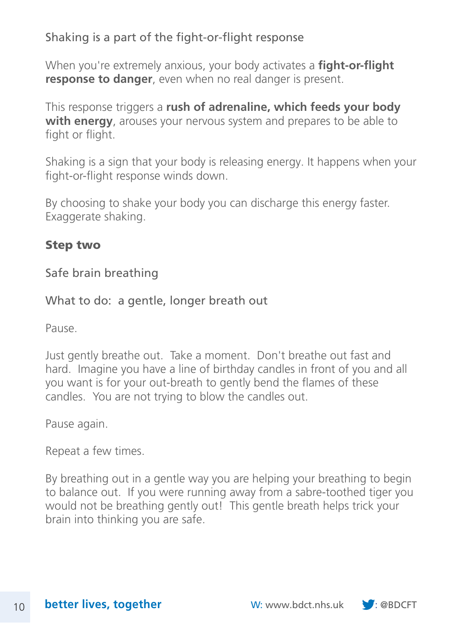#### Shaking is a part of the fight-or-flight response

When you're extremely anxious, your body activates a **fight-or-flight response to danger**, even when no real danger is present.

This response triggers a **rush of adrenaline, which feeds your body with energy**, arouses your nervous system and prepares to be able to fight or flight.

Shaking is a sign that your body is releasing energy. It happens when your fight-or-flight response winds down.

By choosing to shake your body you can discharge this energy faster. Exaggerate shaking.

#### Step two

Safe brain breathing

What to do: a gentle, longer breath out

Pause.

Just gently breathe out. Take a moment. Don't breathe out fast and hard. Imagine you have a line of birthday candles in front of you and all you want is for your out-breath to gently bend the flames of these candles. You are not trying to blow the candles out.

Pause again.

Repeat a few times.

By breathing out in a gentle way you are helping your breathing to begin to balance out. If you were running away from a sabre-toothed tiger you would not be breathing gently out! This gentle breath helps trick your brain into thinking you are safe.

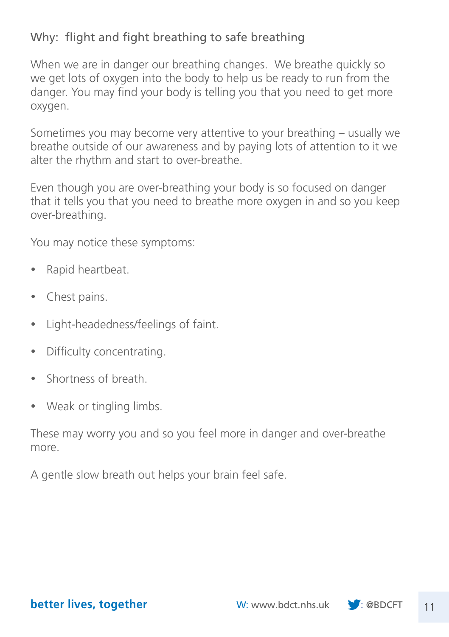#### Why: flight and fight breathing to safe breathing

When we are in danger our breathing changes. We breathe quickly so we get lots of oxygen into the body to help us be ready to run from the danger. You may find your body is telling you that you need to get more oxygen.

Sometimes you may become very attentive to your breathing – usually we breathe outside of our awareness and by paying lots of attention to it we alter the rhythm and start to over-breathe.

Even though you are over-breathing your body is so focused on danger that it tells you that you need to breathe more oxygen in and so you keep over-breathing.

You may notice these symptoms:

- Rapid heartbeat.
- Chest pains.
- Light-headedness/feelings of faint.
- Difficulty concentrating.
- Shortness of breath
- Weak or tingling limbs.

These may worry you and so you feel more in danger and over-breathe more.

A gentle slow breath out helps your brain feel safe.

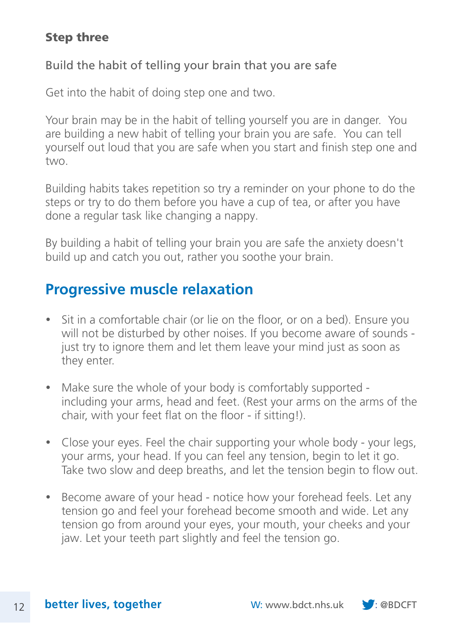#### Step three

#### Build the habit of telling your brain that you are safe

Get into the habit of doing step one and two.

Your brain may be in the habit of telling yourself you are in danger. You are building a new habit of telling your brain you are safe. You can tell yourself out loud that you are safe when you start and finish step one and two.

Building habits takes repetition so try a reminder on your phone to do the steps or try to do them before you have a cup of tea, or after you have done a regular task like changing a nappy.

By building a habit of telling your brain you are safe the anxiety doesn't build up and catch you out, rather you soothe your brain.

## **Progressive muscle relaxation**

- $\bullet$  Sit in a comfortable chair (or lie on the floor, or on a bed). Ensure you will not be disturbed by other noises. If you become aware of sounds just try to janore them and let them leave your mind just as soon as they enter.
- Make sure the whole of your body is comfortably supported including your arms, head and feet. (Rest your arms on the arms of the chair, with your feet flat on the floor - if sitting!).
- Close your eyes. Feel the chair supporting your whole body your legs, your arms, your head. If you can feel any tension, begin to let it go. Take two slow and deep breaths, and let the tension begin to flow out.
- Become aware of your head notice how your forehead feels. Let any tension go and feel your forehead become smooth and wide. Let any tension go from around your eyes, your mouth, your cheeks and your jaw. Let your teeth part slightly and feel the tension go.

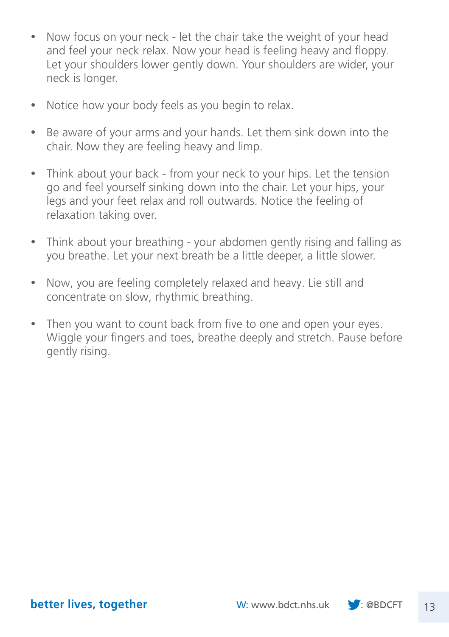- Now focus on your neck let the chair take the weight of your head and feel your neck relax. Now your head is feeling heavy and floppy. Let your shoulders lower gently down. Your shoulders are wider, your neck is longer.
- Notice how your body feels as you begin to relax.
- Be aware of your arms and your hands. Let them sink down into the chair. Now they are feeling heavy and limp.
- Think about your back from your neck to your hips. Let the tension go and feel yourself sinking down into the chair. Let your hips, your legs and your feet relax and roll outwards. Notice the feeling of relaxation taking over.
- Think about your breathing your abdomen gently rising and falling as you breathe. Let your next breath be a little deeper, a little slower.
- Now, you are feeling completely relaxed and heavy. Lie still and concentrate on slow, rhythmic breathing.
- Then you want to count back from five to one and open your eyes. Wiggle your fingers and toes, breathe deeply and stretch. Pause before gently rising.

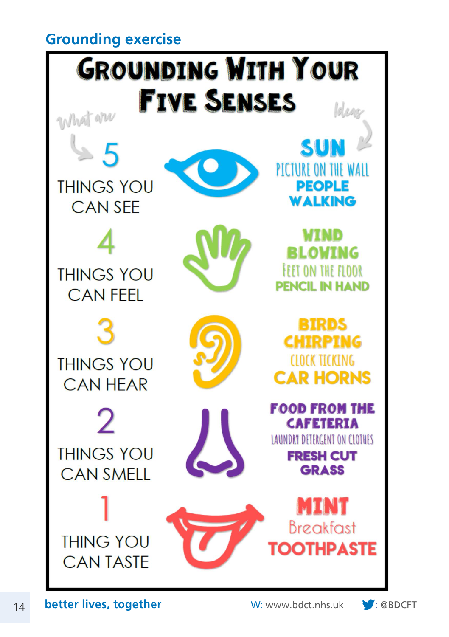## **Grounding exercise**

## **GROUNDING WITH YOUR FIVE SENSES** Idear

What are

5 **THINGS YOU CAN SEE** 

**THINGS YOU CAN FFFL** 

**THINGS YOU CAN HEAR** 

**THINGS YOU CAN SMELL** 

**THING YOU CAN TASTE** 





WALKING 17 ND **OWTNG FEFT ON THE FLOOR** 

**PENCIL IN HAND** 

PICTURE ON THE WALL

**PEOPLE** 

RIRDS **CHIRPING CLOCK TICKING CAR HORNS** 

**FOOD FROM THE CAFETERIA LAUNDRY DETERGENT ON CLOTHES FRESH CUT GRASS** 

MINT **Breakfast TOOTHPASTE** 

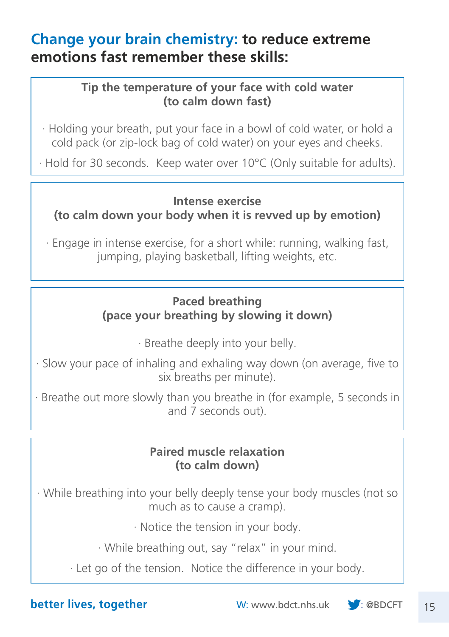## **Change your brain chemistry: to reduce extreme emotions fast remember these skills:**

#### **Tip the temperature of your face with cold water (to calm down fast)**

- · Holding your breath, put your face in a bowl of cold water, or hold a cold pack (or zip-lock bag of cold water) on your eyes and cheeks.
- · Hold for 30 seconds. Keep water over 10°C (Only suitable for adults).

#### **Intense exercise (to calm down your body when it is revved up by emotion)**

· Engage in intense exercise, for a short while: running, walking fast, jumping, playing basketball, lifting weights, etc.

#### **Paced breathing (pace your breathing by slowing it down)**

· Breathe deeply into your belly.

- · Slow your pace of inhaling and exhaling way down (on average, five to six breaths per minute).
- · Breathe out more slowly than you breathe in (for example, 5 seconds in and 7 seconds out).

#### **Paired muscle relaxation (to calm down)**

- · While breathing into your belly deeply tense your body muscles (not so much as to cause a cramp).
	- · Notice the tension in your body.
	- · While breathing out, say "relax" in your mind.
	- · Let go of the tension. Notice the difference in your body.

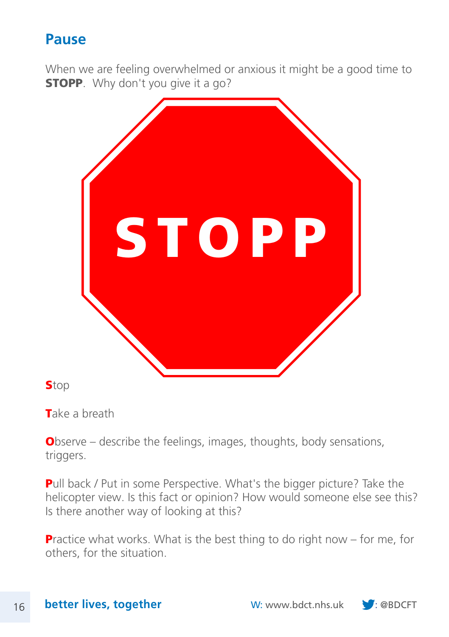### **Pause**

When we are feeling overwhelmed or anxious it might be a good time to **STOPP.** Why don't you give it a go?



**Stop** 

Take a breath

Observe – describe the feelings, images, thoughts, body sensations, triggers.

**Pull back / Put in some Perspective. What's the bigger picture? Take the** helicopter view. Is this fact or opinion? How would someone else see this? Is there another way of looking at this?

Practice what works. What is the best thing to do right now – for me, for others, for the situation.

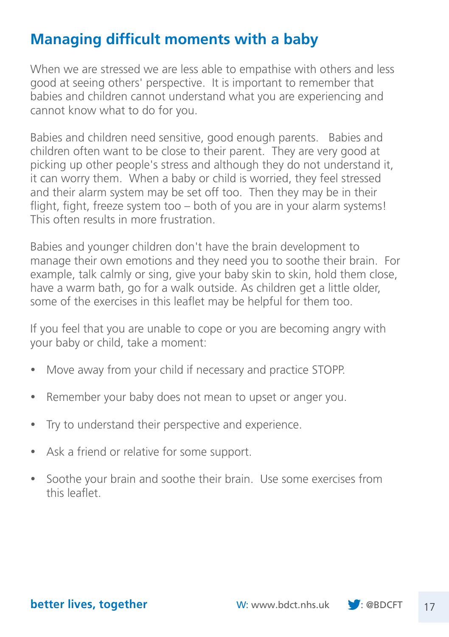## **Managing difficult moments with a baby**

When we are stressed we are less able to empathise with others and less good at seeing others' perspective. It is important to remember that babies and children cannot understand what you are experiencing and cannot know what to do for you.

Babies and children need sensitive, good enough parents. Babies and children often want to be close to their parent. They are very good at picking up other people's stress and although they do not understand it, it can worry them. When a baby or child is worried, they feel stressed and their alarm system may be set off too. Then they may be in their flight, fight, freeze system too – both of you are in your alarm systems! This often results in more frustration.

Babies and younger children don't have the brain development to manage their own emotions and they need you to soothe their brain. For example, talk calmly or sing, give your baby skin to skin, hold them close, have a warm bath, go for a walk outside. As children get a little older, some of the exercises in this leaflet may be helpful for them too.

If you feel that you are unable to cope or you are becoming angry with your baby or child, take a moment:

- Move away from your child if necessary and practice STOPP.
- Remember your baby does not mean to upset or anger you.
- Try to understand their perspective and experience.
- Ask a friend or relative for some support.
- Soothe your brain and soothe their brain. Use some exercises from this leaflet.

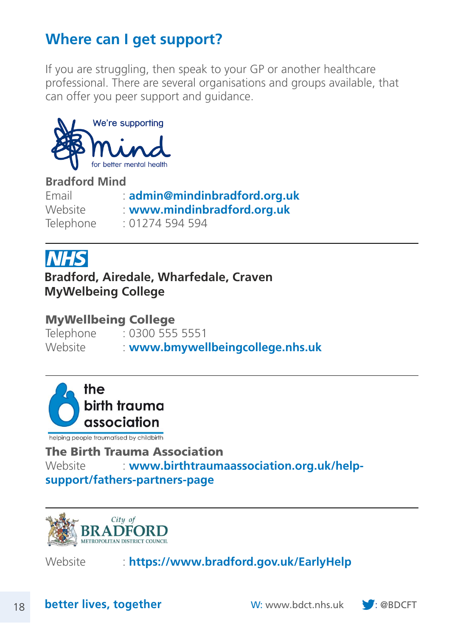## **Where can I get support?**

If you are struggling, then speak to your GP or another healthcare professional. There are several organisations and groups available, that can offer you peer support and guidance.



| <b>Bradford Mind</b> |                               |
|----------------------|-------------------------------|
| Email                | : admin@mindinbradford.org.uk |
| Website              | : www.mindinbradford.org.uk   |
| Telephone            | : 01274 594 594               |

## **NHS**

#### **Bradford, Airedale, Wharfedale, Craven MyWelbeing College**

#### MyWellbeing College

Telephone : 0300 555 5551 Website : **www.bmywellbeingcollege.nhs.uk**



helping people traumatised by childbirth

The Birth Trauma Association Website : www.birthtraumaassociation.org.uk/help**support/fathers-partners-page**



Website : **https://www.bradford.gov.uk/EarlyHelp**

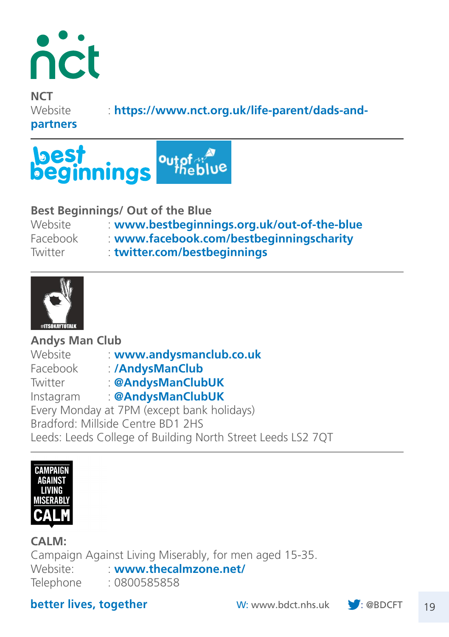# nct

**NCT**

Website : https://www.nct.org.uk/life-parent/dads-and-

## **partners**



#### **Best Beginnings/ Out of the Blue**

| Website  | : www.bestbeginnings.org.uk/out-of-the-blue |
|----------|---------------------------------------------|
| Facebook | : www.facebook.com/bestbeginningscharity    |
| Twitter  | : twitter.com/bestbeginnings                |



#### **Andys Man Club**

- Website : **www.andysmanclub.co.uk**
- Facebook : **/AndysManClub**
- 
- Twitter : **@AndysManClubUK**
- Instagram : **@AndysManClubUK**

Every Monday at 7PM (except bank holidays) Bradford: Millside Centre BD1 2HS Leeds: Leeds College of Building North Street Leeds LS2 7QT



#### **CALM:**

Campaign Against Living Miserably, for men aged 15-35. Website: : **www.thecalmzone.net/** Telephone : 0800585858

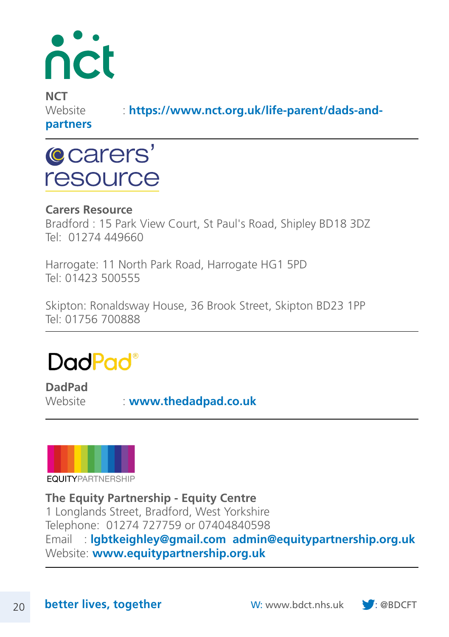# nct

**NCT partners**

Website **: https://www.nct.org.uk/life-parent/dads-and-**

## **C**carers' resource

#### **Carers Resource**

Bradford : 15 Park View Court, St Paul's Road, Shipley BD18 3DZ Tel: 01274 449660

Harrogate: 11 North Park Road, Harrogate HG1 5PD Tel: 01423 500555

Skipton: Ronaldsway House, 36 Brook Street, Skipton BD23 1PP Tel: 01756 700888

## **DadPad**®

**DadPad**

Website : **www.thedadpad.co.uk**



**The Equity Partnership - Equity Centre** 1 Longlands Street, Bradford, West Yorkshire Telephone: 01274 727759 or 07404840598 Email : **lgbtkeighley@gmail.com admin@equitypartnership.org.uk** Website: **www.equitypartnership.org.uk**

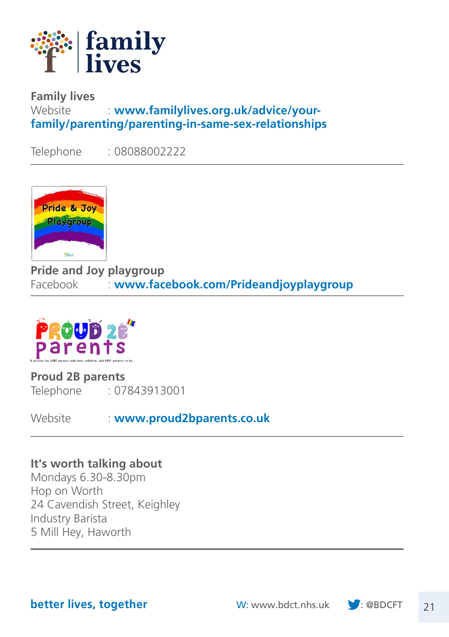

#### **Family lives** Website : www.familylives.org.uk/advice/vour**family/parenting/parenting-in-same-sex-relationships**

Telephone : 08088002222



**Pride and Joy playgroup** Facebook : www.facebook.com/Prideandjoyplaygroup



**Proud 2B parents**  Telephone : 07843913001

Website : **www.proud2bparents.co.uk**

#### **It's worth talking about**

Mondays 6.30-8.30pm Hop on Worth 24 Cavendish Street, Keighley Industry Barista 5 Mill Hey, Haworth

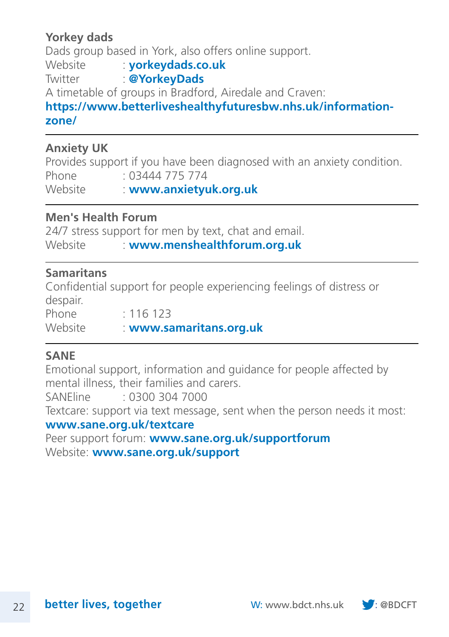#### **Yorkey dads**

Dads group based in York, also offers online support. Website : **yorkeydads.co.uk**  Twitter : **@YorkeyDads**  A timetable of groups in Bradford, Airedale and Craven: **https://www.betterliveshealthyfuturesbw.nhs.uk/informationzone/**

#### **Anxiety UK**

Provides support if you have been diagnosed with an anxiety condition.<br>Phone : 03444 775 774 Phone : 03444 775 774<br>Website : **www.anxietyi** Website : **www.anxietyuk.org.uk** 

#### **Men's Health Forum**

24/7 stress support for men by text, chat and email. Website : **www.menshealthforum.org.uk** 

#### **Samaritans**

Confidential support for people experiencing feelings of distress or despair. Phone : 116 123

Website : **www.samaritans.org.uk** 

#### **SANE**

Emotional support, information and guidance for people affected by mental illness, their families and carers.

SANEline : 0300 304 7000

Textcare: support via text message, sent when the person needs it most:

#### **www.sane.org.uk/textcare**

Peer support forum: **www.sane.org.uk/supportforum**  Website: **www.sane.org.uk/support**

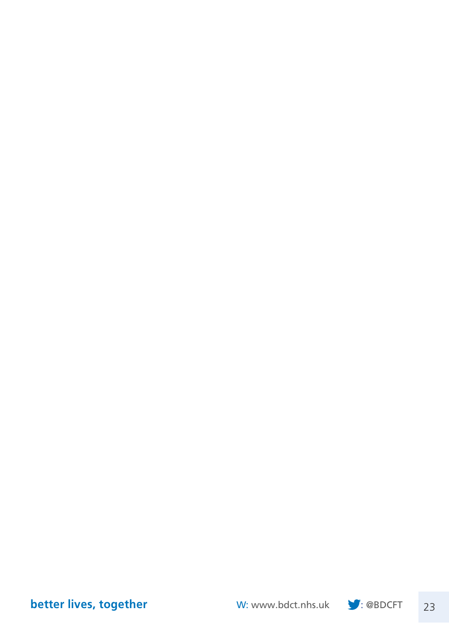